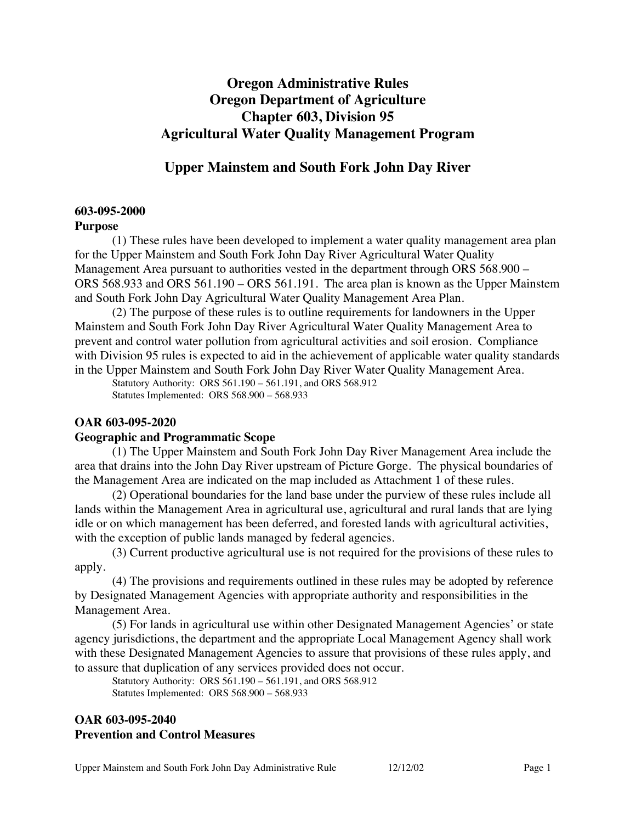# **Oregon Administrative Rules Oregon Department of Agriculture Chapter 603, Division 95 Agricultural Water Quality Management Program**

### **Upper Mainstem and South Fork John Day River**

#### **603-095-2000**

#### **Purpose**

(1) These rules have been developed to implement a water quality management area plan for the Upper Mainstem and South Fork John Day River Agricultural Water Quality Management Area pursuant to authorities vested in the department through ORS 568.900 – ORS 568.933 and ORS 561.190 – ORS 561.191. The area plan is known as the Upper Mainstem and South Fork John Day Agricultural Water Quality Management Area Plan.

(2) The purpose of these rules is to outline requirements for landowners in the Upper Mainstem and South Fork John Day River Agricultural Water Quality Management Area to prevent and control water pollution from agricultural activities and soil erosion. Compliance with Division 95 rules is expected to aid in the achievement of applicable water quality standards in the Upper Mainstem and South Fork John Day River Water Quality Management Area.

Statutory Authority: ORS 561.190 – 561.191, and ORS 568.912 Statutes Implemented: ORS 568.900 – 568.933

#### **OAR 603-095-2020**

#### **Geographic and Programmatic Scope**

(1) The Upper Mainstem and South Fork John Day River Management Area include the area that drains into the John Day River upstream of Picture Gorge. The physical boundaries of the Management Area are indicated on the map included as Attachment 1 of these rules.

(2) Operational boundaries for the land base under the purview of these rules include all lands within the Management Area in agricultural use, agricultural and rural lands that are lying idle or on which management has been deferred, and forested lands with agricultural activities, with the exception of public lands managed by federal agencies.

(3) Current productive agricultural use is not required for the provisions of these rules to apply.

(4) The provisions and requirements outlined in these rules may be adopted by reference by Designated Management Agencies with appropriate authority and responsibilities in the Management Area.

(5) For lands in agricultural use within other Designated Management Agencies' or state agency jurisdictions, the department and the appropriate Local Management Agency shall work with these Designated Management Agencies to assure that provisions of these rules apply, and to assure that duplication of any services provided does not occur.

Statutory Authority: ORS 561.190 – 561.191, and ORS 568.912 Statutes Implemented: ORS 568.900 – 568.933

### **OAR 603-095-2040 Prevention and Control Measures**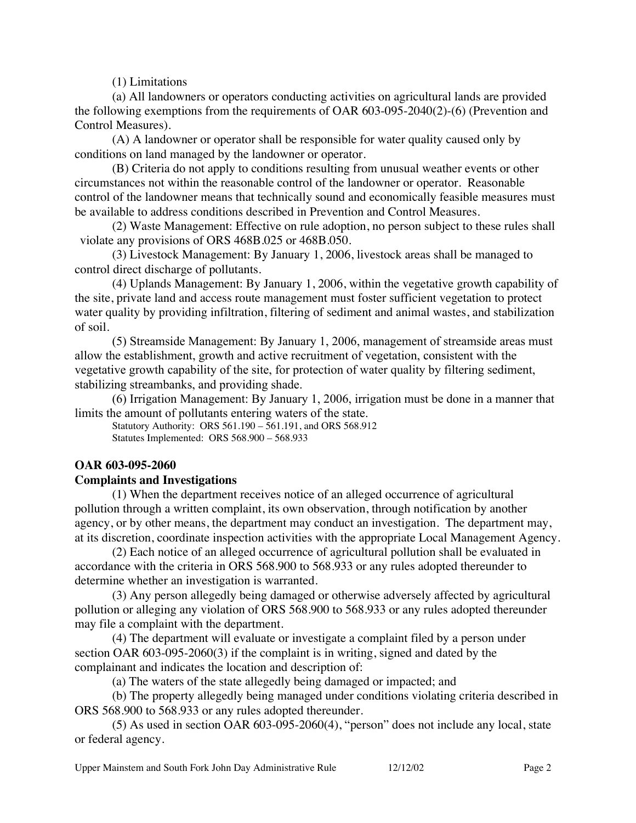(1) Limitations

(a) All landowners or operators conducting activities on agricultural lands are provided the following exemptions from the requirements of OAR 603-095-2040(2)-(6) (Prevention and Control Measures).

(A) A landowner or operator shall be responsible for water quality caused only by conditions on land managed by the landowner or operator.

(B) Criteria do not apply to conditions resulting from unusual weather events or other circumstances not within the reasonable control of the landowner or operator. Reasonable control of the landowner means that technically sound and economically feasible measures must be available to address conditions described in Prevention and Control Measures.

(2) Waste Management: Effective on rule adoption, no person subject to these rules shall violate any provisions of ORS 468B.025 or 468B.050.

(3) Livestock Management: By January 1, 2006, livestock areas shall be managed to control direct discharge of pollutants.

(4) Uplands Management: By January 1, 2006, within the vegetative growth capability of the site, private land and access route management must foster sufficient vegetation to protect water quality by providing infiltration, filtering of sediment and animal wastes, and stabilization of soil.

(5) Streamside Management: By January 1, 2006, management of streamside areas must allow the establishment, growth and active recruitment of vegetation, consistent with the vegetative growth capability of the site, for protection of water quality by filtering sediment, stabilizing streambanks, and providing shade.

(6) Irrigation Management: By January 1, 2006, irrigation must be done in a manner that limits the amount of pollutants entering waters of the state.

Statutory Authority: ORS 561.190 – 561.191, and ORS 568.912 Statutes Implemented: ORS 568.900 – 568.933

### **OAR 603-095-2060**

### **Complaints and Investigations**

(1) When the department receives notice of an alleged occurrence of agricultural pollution through a written complaint, its own observation, through notification by another agency, or by other means, the department may conduct an investigation. The department may, at its discretion, coordinate inspection activities with the appropriate Local Management Agency.

(2) Each notice of an alleged occurrence of agricultural pollution shall be evaluated in accordance with the criteria in ORS 568.900 to 568.933 or any rules adopted thereunder to determine whether an investigation is warranted.

(3) Any person allegedly being damaged or otherwise adversely affected by agricultural pollution or alleging any violation of ORS 568.900 to 568.933 or any rules adopted thereunder may file a complaint with the department.

(4) The department will evaluate or investigate a complaint filed by a person under section OAR 603-095-2060(3) if the complaint is in writing, signed and dated by the complainant and indicates the location and description of:

(a) The waters of the state allegedly being damaged or impacted; and

(b) The property allegedly being managed under conditions violating criteria described in ORS 568.900 to 568.933 or any rules adopted thereunder.

(5) As used in section OAR 603-095-2060(4), "person" does not include any local, state or federal agency.

Upper Mainstem and South Fork John Day Administrative Rule 12/12/02 Page 2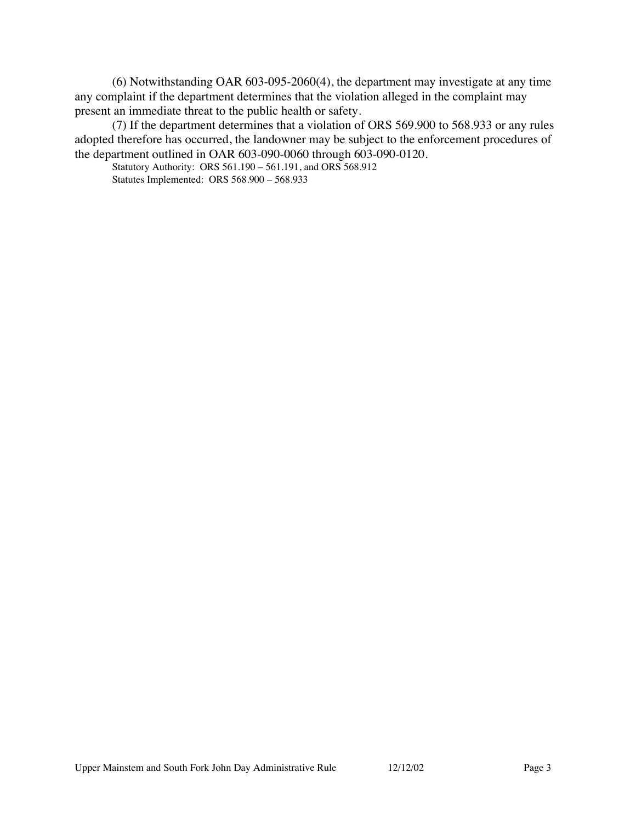(6) Notwithstanding OAR 603-095-2060(4), the department may investigate at any time any complaint if the department determines that the violation alleged in the complaint may present an immediate threat to the public health or safety.

(7) If the department determines that a violation of ORS 569.900 to 568.933 or any rules adopted therefore has occurred, the landowner may be subject to the enforcement procedures of the department outlined in OAR 603-090-0060 through 603-090-0120.

Statutory Authority: ORS 561.190 – 561.191, and ORS 568.912 Statutes Implemented: ORS 568.900 – 568.933